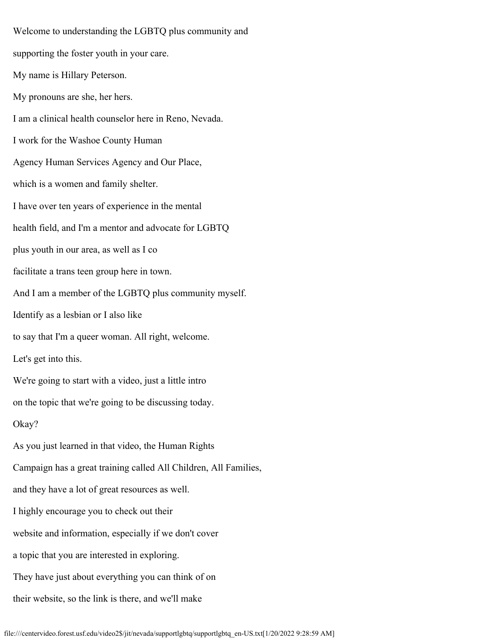Welcome to understanding the LGBTQ plus community and supporting the foster youth in your care. My name is Hillary Peterson. My pronouns are she, her hers. I am a clinical health counselor here in Reno, Nevada. I work for the Washoe County Human Agency Human Services Agency and Our Place, which is a women and family shelter. I have over ten years of experience in the mental health field, and I'm a mentor and advocate for LGBTQ plus youth in our area, as well as I co facilitate a trans teen group here in town. And I am a member of the LGBTQ plus community myself. Identify as a lesbian or I also like to say that I'm a queer woman. All right, welcome. Let's get into this. We're going to start with a video, just a little intro on the topic that we're going to be discussing today. Okay? As you just learned in that video, the Human Rights Campaign has a great training called All Children, All Families, and they have a lot of great resources as well. I highly encourage you to check out their website and information, especially if we don't cover a topic that you are interested in exploring. They have just about everything you can think of on their website, so the link is there, and we'll make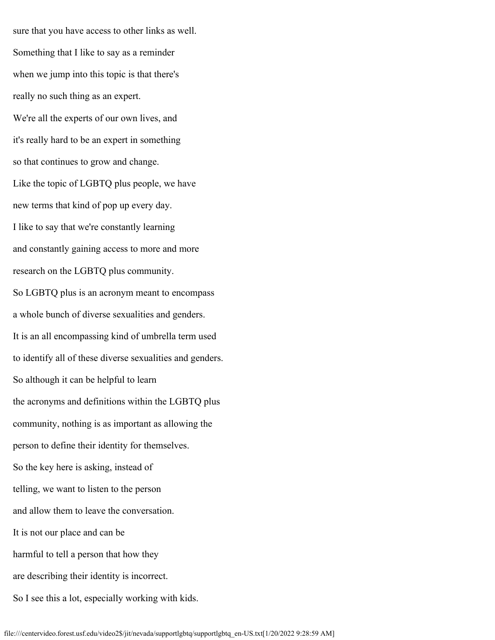sure that you have access to other links as well. Something that I like to say as a reminder when we jump into this topic is that there's really no such thing as an expert. We're all the experts of our own lives, and it's really hard to be an expert in something so that continues to grow and change. Like the topic of LGBTQ plus people, we have new terms that kind of pop up every day. I like to say that we're constantly learning and constantly gaining access to more and more research on the LGBTQ plus community. So LGBTQ plus is an acronym meant to encompass a whole bunch of diverse sexualities and genders. It is an all encompassing kind of umbrella term used to identify all of these diverse sexualities and genders. So although it can be helpful to learn the acronyms and definitions within the LGBTQ plus community, nothing is as important as allowing the person to define their identity for themselves. So the key here is asking, instead of telling, we want to listen to the person and allow them to leave the conversation. It is not our place and can be harmful to tell a person that how they are describing their identity is incorrect. So I see this a lot, especially working with kids.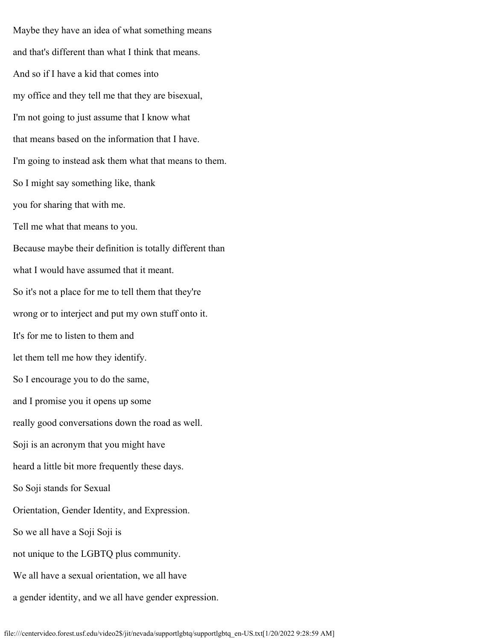Maybe they have an idea of what something means and that's different than what I think that means. And so if I have a kid that comes into my office and they tell me that they are bisexual, I'm not going to just assume that I know what that means based on the information that I have. I'm going to instead ask them what that means to them. So I might say something like, thank you for sharing that with me. Tell me what that means to you. Because maybe their definition is totally different than what I would have assumed that it meant. So it's not a place for me to tell them that they're wrong or to interject and put my own stuff onto it. It's for me to listen to them and let them tell me how they identify. So I encourage you to do the same, and I promise you it opens up some really good conversations down the road as well. Soji is an acronym that you might have heard a little bit more frequently these days. So Soji stands for Sexual Orientation, Gender Identity, and Expression. So we all have a Soji Soji is not unique to the LGBTQ plus community. We all have a sexual orientation, we all have a gender identity, and we all have gender expression.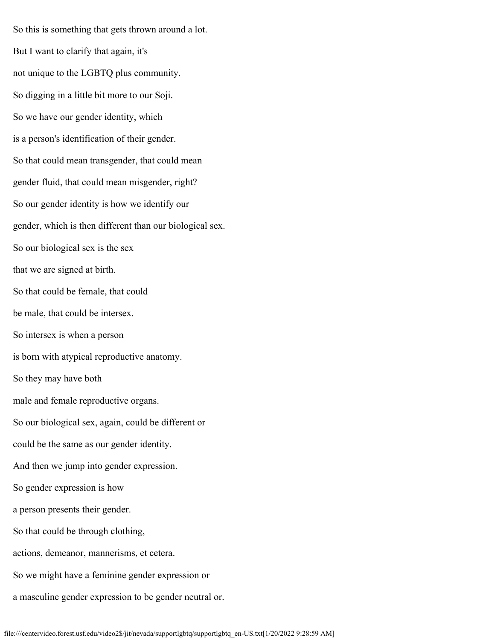So this is something that gets thrown around a lot. But I want to clarify that again, it's not unique to the LGBTQ plus community. So digging in a little bit more to our Soji. So we have our gender identity, which is a person's identification of their gender. So that could mean transgender, that could mean gender fluid, that could mean misgender, right? So our gender identity is how we identify our gender, which is then different than our biological sex. So our biological sex is the sex that we are signed at birth. So that could be female, that could be male, that could be intersex. So intersex is when a person is born with atypical reproductive anatomy. So they may have both male and female reproductive organs. So our biological sex, again, could be different or could be the same as our gender identity. And then we jump into gender expression. So gender expression is how a person presents their gender. So that could be through clothing, actions, demeanor, mannerisms, et cetera. So we might have a feminine gender expression or a masculine gender expression to be gender neutral or.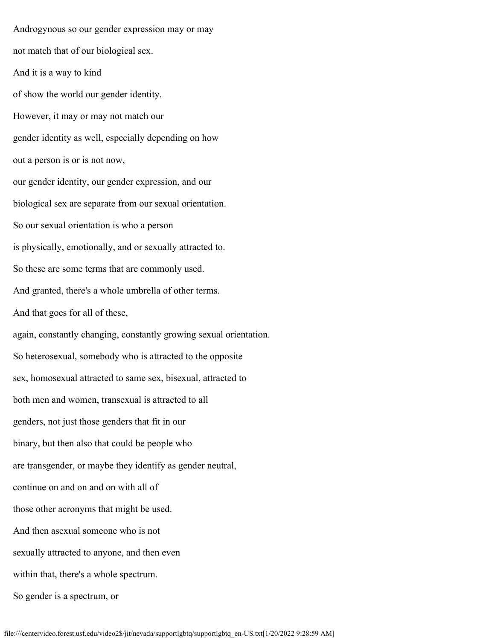Androgynous so our gender expression may or may not match that of our biological sex. And it is a way to kind of show the world our gender identity. However, it may or may not match our gender identity as well, especially depending on how out a person is or is not now, our gender identity, our gender expression, and our biological sex are separate from our sexual orientation. So our sexual orientation is who a person is physically, emotionally, and or sexually attracted to. So these are some terms that are commonly used. And granted, there's a whole umbrella of other terms. And that goes for all of these, again, constantly changing, constantly growing sexual orientation. So heterosexual, somebody who is attracted to the opposite sex, homosexual attracted to same sex, bisexual, attracted to both men and women, transexual is attracted to all genders, not just those genders that fit in our binary, but then also that could be people who are transgender, or maybe they identify as gender neutral, continue on and on and on with all of those other acronyms that might be used. And then asexual someone who is not sexually attracted to anyone, and then even within that, there's a whole spectrum. So gender is a spectrum, or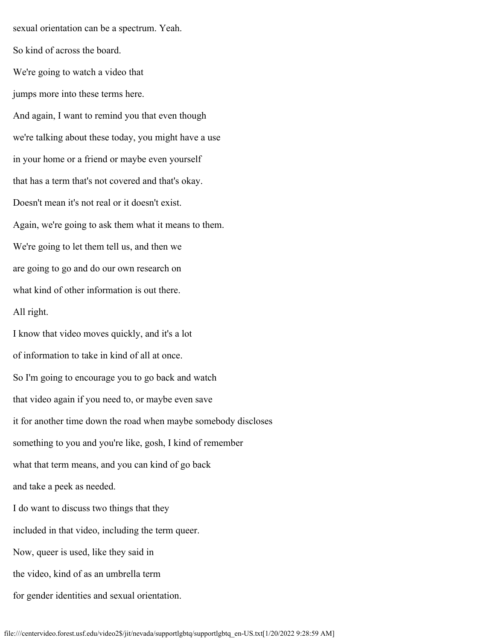sexual orientation can be a spectrum. Yeah. So kind of across the board. We're going to watch a video that jumps more into these terms here. And again, I want to remind you that even though we're talking about these today, you might have a use in your home or a friend or maybe even yourself that has a term that's not covered and that's okay. Doesn't mean it's not real or it doesn't exist. Again, we're going to ask them what it means to them. We're going to let them tell us, and then we are going to go and do our own research on what kind of other information is out there. All right. I know that video moves quickly, and it's a lot of information to take in kind of all at once. So I'm going to encourage you to go back and watch that video again if you need to, or maybe even save it for another time down the road when maybe somebody discloses something to you and you're like, gosh, I kind of remember what that term means, and you can kind of go back and take a peek as needed. I do want to discuss two things that they included in that video, including the term queer. Now, queer is used, like they said in the video, kind of as an umbrella term for gender identities and sexual orientation.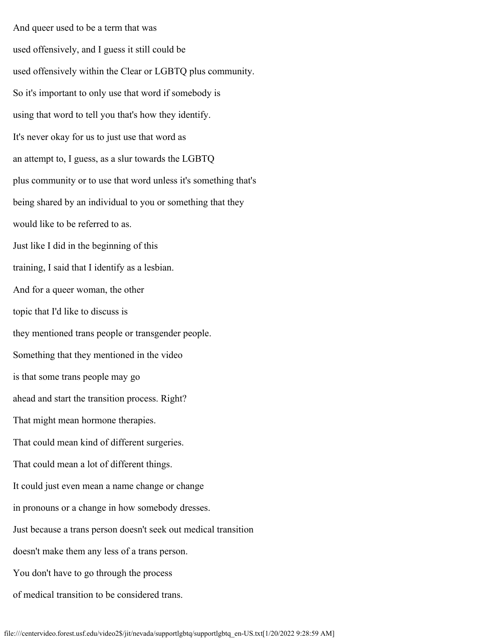And queer used to be a term that was used offensively, and I guess it still could be used offensively within the Clear or LGBTQ plus community. So it's important to only use that word if somebody is using that word to tell you that's how they identify. It's never okay for us to just use that word as an attempt to, I guess, as a slur towards the LGBTQ plus community or to use that word unless it's something that's being shared by an individual to you or something that they would like to be referred to as. Just like I did in the beginning of this training, I said that I identify as a lesbian. And for a queer woman, the other topic that I'd like to discuss is they mentioned trans people or transgender people. Something that they mentioned in the video is that some trans people may go ahead and start the transition process. Right? That might mean hormone therapies. That could mean kind of different surgeries. That could mean a lot of different things. It could just even mean a name change or change in pronouns or a change in how somebody dresses. Just because a trans person doesn't seek out medical transition doesn't make them any less of a trans person. You don't have to go through the process of medical transition to be considered trans.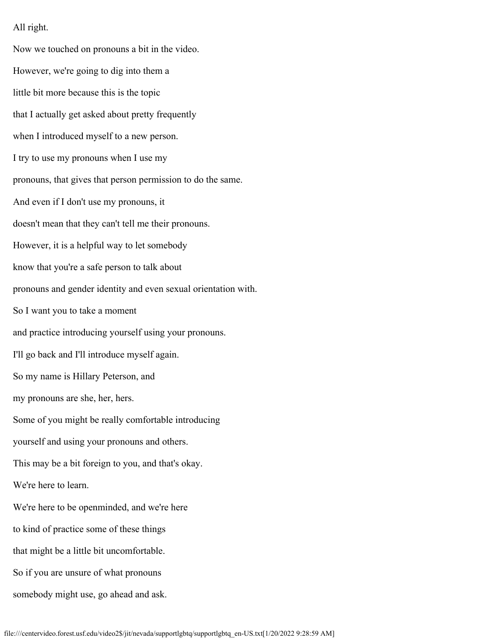All right.

Now we touched on pronouns a bit in the video. However, we're going to dig into them a little bit more because this is the topic that I actually get asked about pretty frequently when I introduced myself to a new person. I try to use my pronouns when I use my pronouns, that gives that person permission to do the same. And even if I don't use my pronouns, it doesn't mean that they can't tell me their pronouns. However, it is a helpful way to let somebody know that you're a safe person to talk about pronouns and gender identity and even sexual orientation with. So I want you to take a moment and practice introducing yourself using your pronouns. I'll go back and I'll introduce myself again. So my name is Hillary Peterson, and my pronouns are she, her, hers. Some of you might be really comfortable introducing yourself and using your pronouns and others. This may be a bit foreign to you, and that's okay. We're here to learn. We're here to be openminded, and we're here to kind of practice some of these things that might be a little bit uncomfortable. So if you are unsure of what pronouns somebody might use, go ahead and ask.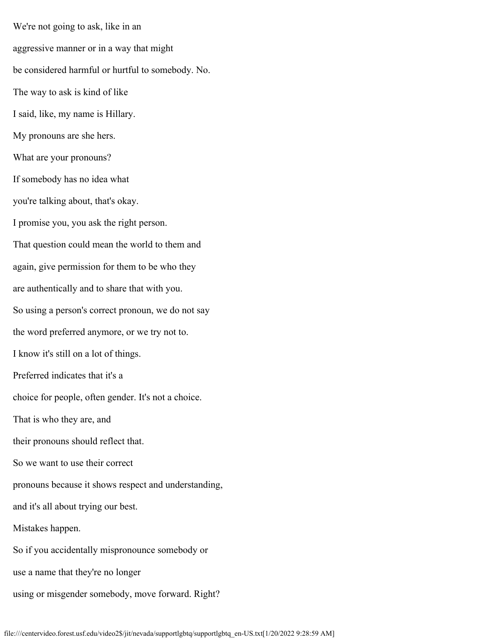We're not going to ask, like in an aggressive manner or in a way that might be considered harmful or hurtful to somebody. No. The way to ask is kind of like I said, like, my name is Hillary. My pronouns are she hers. What are your pronouns? If somebody has no idea what you're talking about, that's okay. I promise you, you ask the right person. That question could mean the world to them and again, give permission for them to be who they are authentically and to share that with you. So using a person's correct pronoun, we do not say the word preferred anymore, or we try not to. I know it's still on a lot of things. Preferred indicates that it's a choice for people, often gender. It's not a choice. That is who they are, and their pronouns should reflect that. So we want to use their correct pronouns because it shows respect and understanding, and it's all about trying our best. Mistakes happen. So if you accidentally mispronounce somebody or use a name that they're no longer using or misgender somebody, move forward. Right?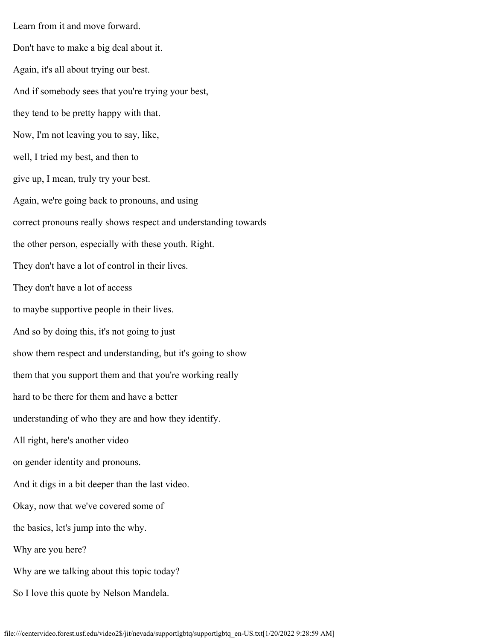Learn from it and move forward. Don't have to make a big deal about it. Again, it's all about trying our best. And if somebody sees that you're trying your best, they tend to be pretty happy with that. Now, I'm not leaving you to say, like, well, I tried my best, and then to give up, I mean, truly try your best. Again, we're going back to pronouns, and using correct pronouns really shows respect and understanding towards the other person, especially with these youth. Right. They don't have a lot of control in their lives. They don't have a lot of access to maybe supportive people in their lives. And so by doing this, it's not going to just show them respect and understanding, but it's going to show them that you support them and that you're working really hard to be there for them and have a better understanding of who they are and how they identify. All right, here's another video on gender identity and pronouns. And it digs in a bit deeper than the last video. Okay, now that we've covered some of the basics, let's jump into the why. Why are you here? Why are we talking about this topic today? So I love this quote by Nelson Mandela.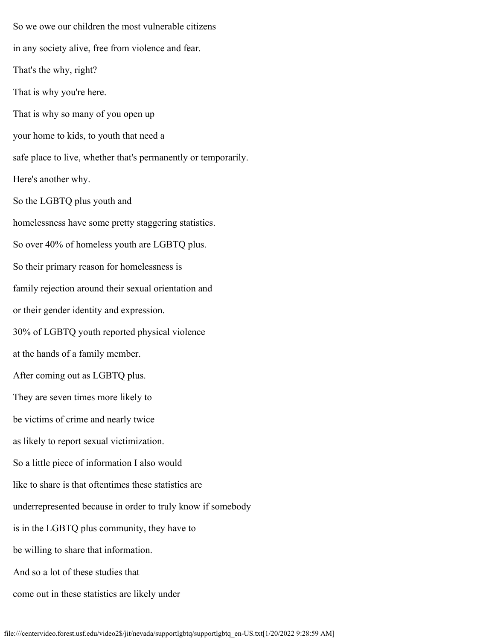So we owe our children the most vulnerable citizens in any society alive, free from violence and fear. That's the why, right? That is why you're here. That is why so many of you open up your home to kids, to youth that need a safe place to live, whether that's permanently or temporarily. Here's another why. So the LGBTQ plus youth and homelessness have some pretty staggering statistics. So over 40% of homeless youth are LGBTQ plus. So their primary reason for homelessness is family rejection around their sexual orientation and or their gender identity and expression. 30% of LGBTQ youth reported physical violence at the hands of a family member. After coming out as LGBTQ plus. They are seven times more likely to be victims of crime and nearly twice as likely to report sexual victimization. So a little piece of information I also would like to share is that oftentimes these statistics are underrepresented because in order to truly know if somebody is in the LGBTQ plus community, they have to be willing to share that information. And so a lot of these studies that come out in these statistics are likely under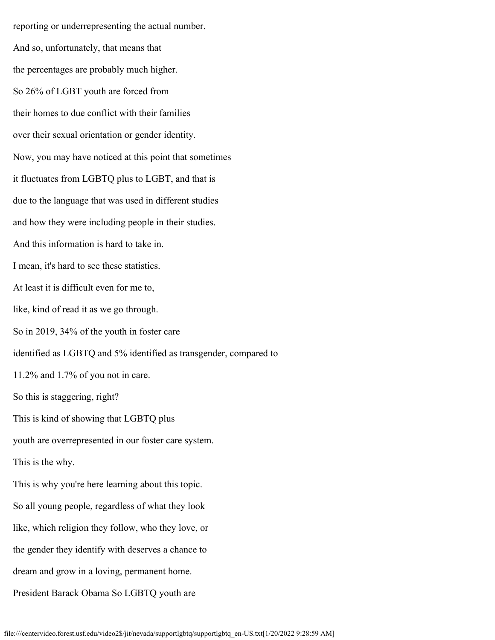reporting or underrepresenting the actual number. And so, unfortunately, that means that the percentages are probably much higher. So 26% of LGBT youth are forced from their homes to due conflict with their families over their sexual orientation or gender identity. Now, you may have noticed at this point that sometimes it fluctuates from LGBTQ plus to LGBT, and that is due to the language that was used in different studies and how they were including people in their studies. And this information is hard to take in. I mean, it's hard to see these statistics. At least it is difficult even for me to, like, kind of read it as we go through. So in 2019, 34% of the youth in foster care identified as LGBTQ and 5% identified as transgender, compared to 11.2% and 1.7% of you not in care. So this is staggering, right? This is kind of showing that LGBTQ plus youth are overrepresented in our foster care system. This is the why. This is why you're here learning about this topic. So all young people, regardless of what they look like, which religion they follow, who they love, or the gender they identify with deserves a chance to dream and grow in a loving, permanent home. President Barack Obama So LGBTQ youth are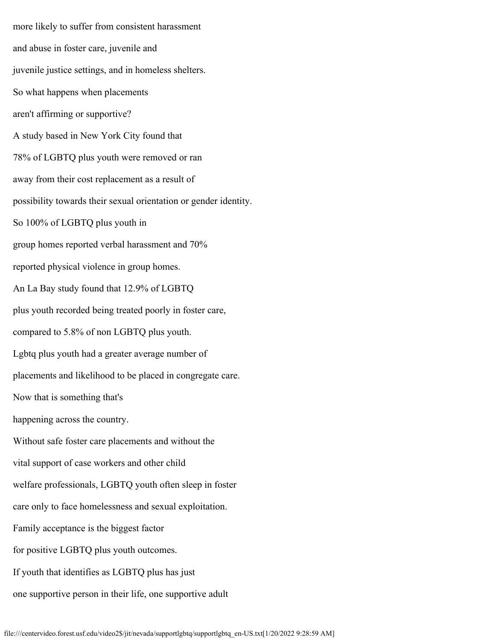more likely to suffer from consistent harassment and abuse in foster care, juvenile and juvenile justice settings, and in homeless shelters. So what happens when placements aren't affirming or supportive? A study based in New York City found that 78% of LGBTQ plus youth were removed or ran away from their cost replacement as a result of possibility towards their sexual orientation or gender identity. So 100% of LGBTQ plus youth in group homes reported verbal harassment and 70% reported physical violence in group homes. An La Bay study found that 12.9% of LGBTQ plus youth recorded being treated poorly in foster care, compared to 5.8% of non LGBTQ plus youth. Lgbtq plus youth had a greater average number of placements and likelihood to be placed in congregate care. Now that is something that's happening across the country. Without safe foster care placements and without the vital support of case workers and other child welfare professionals, LGBTQ youth often sleep in foster care only to face homelessness and sexual exploitation. Family acceptance is the biggest factor for positive LGBTQ plus youth outcomes. If youth that identifies as LGBTQ plus has just one supportive person in their life, one supportive adult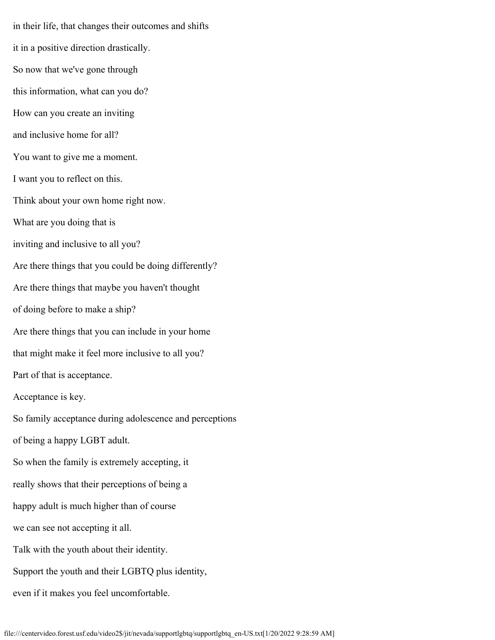in their life, that changes their outcomes and shifts it in a positive direction drastically. So now that we've gone through this information, what can you do? How can you create an inviting and inclusive home for all? You want to give me a moment. I want you to reflect on this. Think about your own home right now. What are you doing that is inviting and inclusive to all you? Are there things that you could be doing differently? Are there things that maybe you haven't thought of doing before to make a ship? Are there things that you can include in your home that might make it feel more inclusive to all you? Part of that is acceptance. Acceptance is key. So family acceptance during adolescence and perceptions of being a happy LGBT adult. So when the family is extremely accepting, it really shows that their perceptions of being a happy adult is much higher than of course we can see not accepting it all. Talk with the youth about their identity. Support the youth and their LGBTQ plus identity, even if it makes you feel uncomfortable.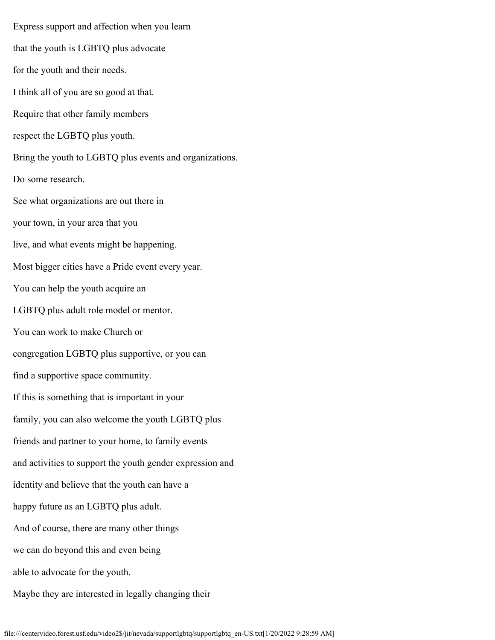Express support and affection when you learn that the youth is LGBTQ plus advocate for the youth and their needs. I think all of you are so good at that. Require that other family members respect the LGBTQ plus youth. Bring the youth to LGBTQ plus events and organizations. Do some research. See what organizations are out there in your town, in your area that you live, and what events might be happening. Most bigger cities have a Pride event every year. You can help the youth acquire an LGBTQ plus adult role model or mentor. You can work to make Church or congregation LGBTQ plus supportive, or you can find a supportive space community. If this is something that is important in your family, you can also welcome the youth LGBTQ plus friends and partner to your home, to family events and activities to support the youth gender expression and identity and believe that the youth can have a happy future as an LGBTQ plus adult. And of course, there are many other things we can do beyond this and even being able to advocate for the youth. Maybe they are interested in legally changing their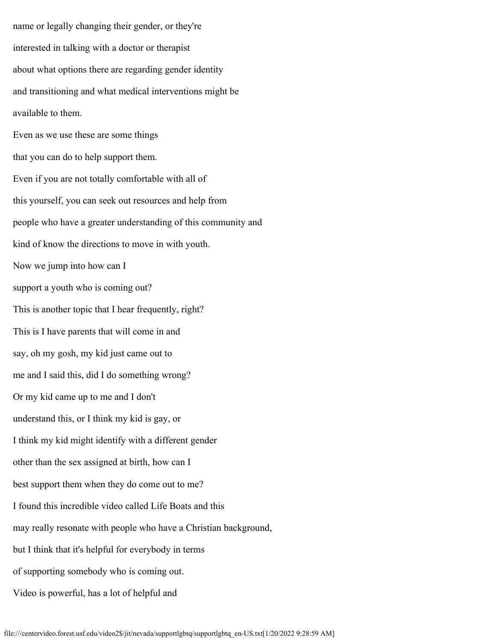name or legally changing their gender, or they're interested in talking with a doctor or therapist about what options there are regarding gender identity and transitioning and what medical interventions might be available to them. Even as we use these are some things that you can do to help support them. Even if you are not totally comfortable with all of this yourself, you can seek out resources and help from people who have a greater understanding of this community and kind of know the directions to move in with youth. Now we jump into how can I support a youth who is coming out? This is another topic that I hear frequently, right? This is I have parents that will come in and say, oh my gosh, my kid just came out to me and I said this, did I do something wrong? Or my kid came up to me and I don't understand this, or I think my kid is gay, or I think my kid might identify with a different gender other than the sex assigned at birth, how can I best support them when they do come out to me? I found this incredible video called Life Boats and this may really resonate with people who have a Christian background, but I think that it's helpful for everybody in terms of supporting somebody who is coming out. Video is powerful, has a lot of helpful and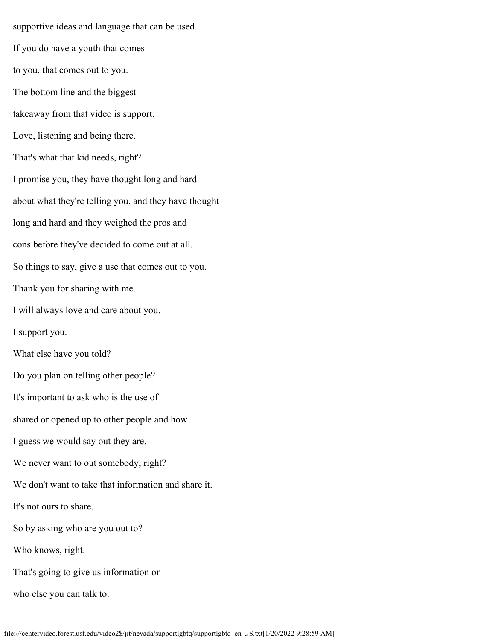supportive ideas and language that can be used. If you do have a youth that comes to you, that comes out to you. The bottom line and the biggest takeaway from that video is support. Love, listening and being there. That's what that kid needs, right? I promise you, they have thought long and hard about what they're telling you, and they have thought long and hard and they weighed the pros and cons before they've decided to come out at all. So things to say, give a use that comes out to you. Thank you for sharing with me. I will always love and care about you. I support you. What else have you told? Do you plan on telling other people? It's important to ask who is the use of shared or opened up to other people and how I guess we would say out they are. We never want to out somebody, right? We don't want to take that information and share it. It's not ours to share. So by asking who are you out to? Who knows, right. That's going to give us information on who else you can talk to.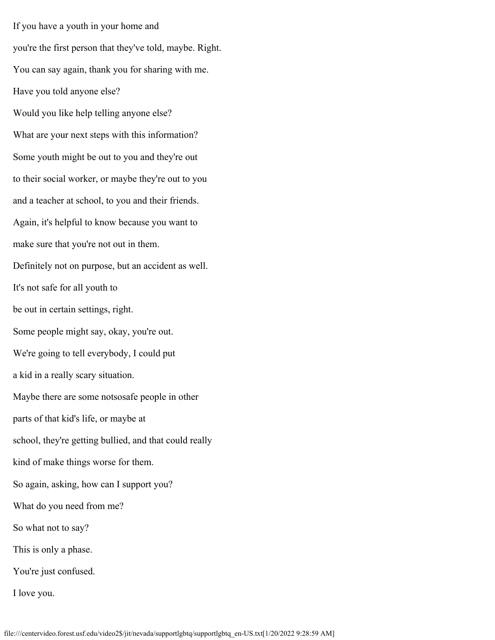If you have a youth in your home and you're the first person that they've told, maybe. Right. You can say again, thank you for sharing with me. Have you told anyone else? Would you like help telling anyone else? What are your next steps with this information? Some youth might be out to you and they're out to their social worker, or maybe they're out to you and a teacher at school, to you and their friends. Again, it's helpful to know because you want to make sure that you're not out in them. Definitely not on purpose, but an accident as well. It's not safe for all youth to be out in certain settings, right. Some people might say, okay, you're out. We're going to tell everybody, I could put a kid in a really scary situation. Maybe there are some notsosafe people in other parts of that kid's life, or maybe at school, they're getting bullied, and that could really kind of make things worse for them. So again, asking, how can I support you? What do you need from me? So what not to say? This is only a phase. You're just confused. I love you.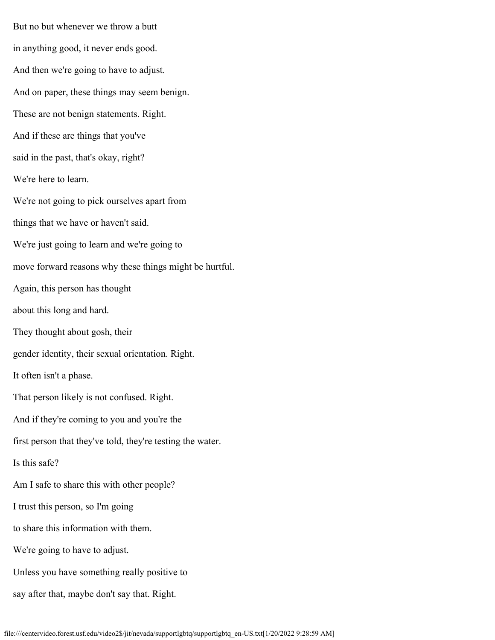But no but whenever we throw a butt in anything good, it never ends good. And then we're going to have to adjust. And on paper, these things may seem benign. These are not benign statements. Right. And if these are things that you've said in the past, that's okay, right? We're here to learn. We're not going to pick ourselves apart from things that we have or haven't said. We're just going to learn and we're going to move forward reasons why these things might be hurtful. Again, this person has thought about this long and hard. They thought about gosh, their gender identity, their sexual orientation. Right. It often isn't a phase. That person likely is not confused. Right. And if they're coming to you and you're the first person that they've told, they're testing the water. Is this safe? Am I safe to share this with other people? I trust this person, so I'm going to share this information with them. We're going to have to adjust. Unless you have something really positive to say after that, maybe don't say that. Right.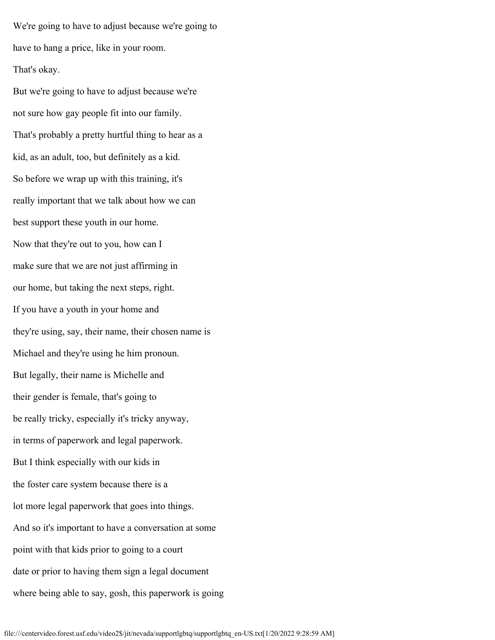We're going to have to adjust because we're going to have to hang a price, like in your room. That's okay.

But we're going to have to adjust because we're not sure how gay people fit into our family. That's probably a pretty hurtful thing to hear as a kid, as an adult, too, but definitely as a kid. So before we wrap up with this training, it's really important that we talk about how we can best support these youth in our home. Now that they're out to you, how can I make sure that we are not just affirming in our home, but taking the next steps, right. If you have a youth in your home and they're using, say, their name, their chosen name is Michael and they're using he him pronoun. But legally, their name is Michelle and their gender is female, that's going to be really tricky, especially it's tricky anyway, in terms of paperwork and legal paperwork. But I think especially with our kids in the foster care system because there is a lot more legal paperwork that goes into things. And so it's important to have a conversation at some point with that kids prior to going to a court date or prior to having them sign a legal document where being able to say, gosh, this paperwork is going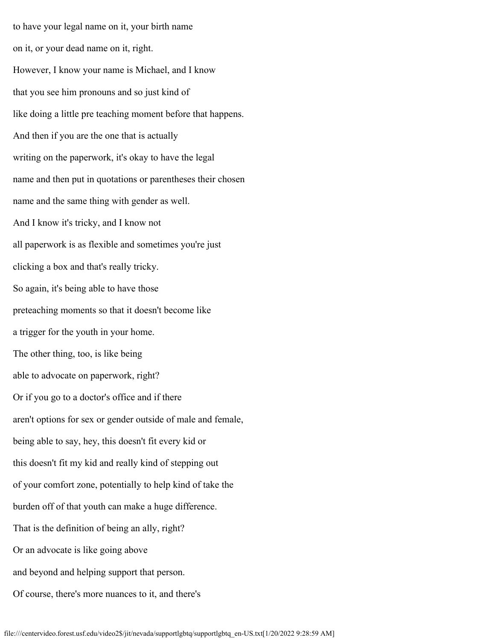to have your legal name on it, your birth name on it, or your dead name on it, right. However, I know your name is Michael, and I know that you see him pronouns and so just kind of like doing a little pre teaching moment before that happens. And then if you are the one that is actually writing on the paperwork, it's okay to have the legal name and then put in quotations or parentheses their chosen name and the same thing with gender as well. And I know it's tricky, and I know not all paperwork is as flexible and sometimes you're just clicking a box and that's really tricky. So again, it's being able to have those preteaching moments so that it doesn't become like a trigger for the youth in your home. The other thing, too, is like being able to advocate on paperwork, right? Or if you go to a doctor's office and if there aren't options for sex or gender outside of male and female, being able to say, hey, this doesn't fit every kid or this doesn't fit my kid and really kind of stepping out of your comfort zone, potentially to help kind of take the burden off of that youth can make a huge difference. That is the definition of being an ally, right? Or an advocate is like going above and beyond and helping support that person. Of course, there's more nuances to it, and there's